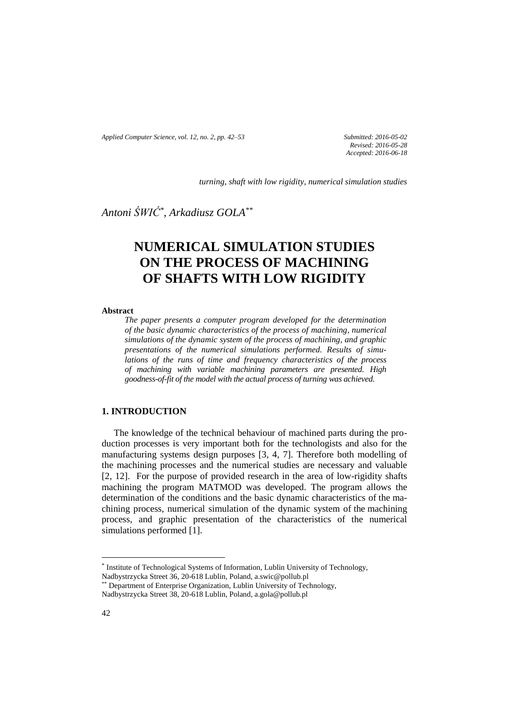*Applied Computer Science, vol. 12, no. 2, pp. 42–53 Submitted: 2016-05-02*

*Revised: 2016-05-28 Accepted: 2016-06-18*

*turning, shaft with low rigidity, numerical simulation studies*

*Antoni ŚWIĆ\* , Arkadiusz GOLA\*\**

# **NUMERICAL SIMULATION STUDIES ON THE PROCESS OF MACHINING OF SHAFTS WITH LOW RIGIDITY**

#### **Abstract**

*The paper presents a computer program developed for the determination of the basic dynamic characteristics of the process of machining, numerical simulations of the dynamic system of the process of machining, and graphic presentations of the numerical simulations performed. Results of simulations of the runs of time and frequency characteristics of the process of machining with variable machining parameters are presented. High goodness-of-fit of the model with the actual process of turning was achieved.* 

## **1. INTRODUCTION**

The knowledge of the technical behaviour of machined parts during the production processes is very important both for the technologists and also for the manufacturing systems design purposes [3, 4, 7]. Therefore both modelling of the machining processes and the numerical studies are necessary and valuable [2, 12]. For the purpose of provided research in the area of low-rigidity shafts machining the program MATMOD was developed. The program allows the determination of the conditions and the basic dynamic characteristics of the machining process, numerical simulation of the dynamic system of the machining process, and graphic presentation of the characteristics of the numerical simulations performed [1].

 $\overline{a}$ 

<sup>\*</sup> Institute of Technological Systems of Information, Lublin University of Technology, Nadbystrzycka Street 36, 20-618 Lublin, Poland, [a.swic@pollub.pl](mailto:a.swic@pollub.pl)

<sup>\*</sup> Department of Enterprise Organization, Lublin University of Technology,

Nadbystrzycka Street 38, 20-618 Lublin, Poland, a.gola@pollub.pl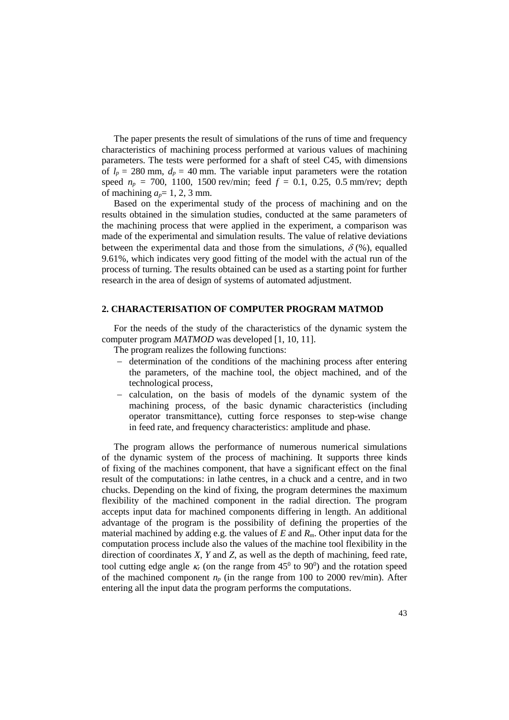The paper presents the result of simulations of the runs of time and frequency characteristics of machining process performed at various values of machining parameters. The tests were performed for a shaft of steel C45, with dimensions of  $l_p = 280$  mm,  $d_p = 40$  mm. The variable input parameters were the rotation speed  $n_p = 700$ , 1100, 1500 rev/min; feed  $f = 0.1$ , 0.25, 0.5 mm/rev; depth of machining  $a_p = 1, 2, 3$  mm.

Based on the experimental study of the process of machining and on the results obtained in the simulation studies, conducted at the same parameters of the machining process that were applied in the experiment, a comparison was made of the experimental and simulation results. The value of relative deviations between the experimental data and those from the simulations,  $\delta$  (%), equalled 9.61%, which indicates very good fitting of the model with the actual run of the process of turning. The results obtained can be used as a starting point for further research in the area of design of systems of automated adjustment.

#### **2. CHARACTERISATION OF COMPUTER PROGRAM MATMOD**

For the needs of the study of the characteristics of the dynamic system the computer program *MATMOD* was developed [1, 10, 11].

The program realizes the following functions:

- determination of the conditions of the machining process after entering the parameters, of the machine tool, the object machined, and of the technological process,
- calculation, on the basis of models of the dynamic system of the machining process, of the basic dynamic characteristics (including operator transmittance), cutting force responses to step-wise change in feed rate, and frequency characteristics: amplitude and phase.

The program allows the performance of numerous numerical simulations of the dynamic system of the process of machining. It supports three kinds of fixing of the machines component, that have a significant effect on the final result of the computations: in lathe centres, in a chuck and a centre, and in two chucks. Depending on the kind of fixing, the program determines the maximum flexibility of the machined component in the radial direction. The program accepts input data for machined components differing in length. An additional advantage of the program is the possibility of defining the properties of the material machined by adding e.g. the values of *E* and *Rm*. Other input data for the computation process include also the values of the machine tool flexibility in the direction of coordinates *X*, *Y* and *Z*, as well as the depth of machining, feed rate, tool cutting edge angle  $\kappa$  (on the range from  $45^{\circ}$  to  $90^{\circ}$ ) and the rotation speed of the machined component  $n_p$  (in the range from 100 to 2000 rev/min). After entering all the input data the program performs the computations.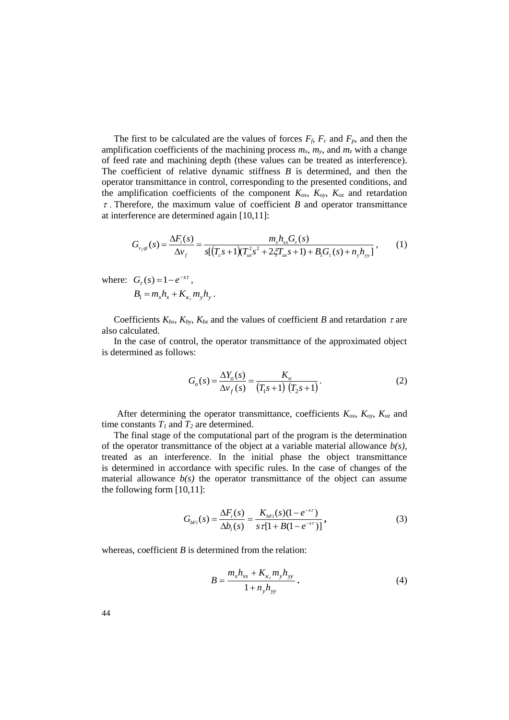The first to be calculated are the values of forces  $F_f$ ,  $F_c$  and  $F_p$ , and then the amplification coefficients of the machining process  $m_x$ ,  $m_y$ , and  $m_z$  with a change of feed rate and machining depth (these values can be treated as interference). The coefficient of relative dynamic stiffness *B* is determined, and then the operator transmittance in control, corresponding to the presented conditions, and the amplification coefficients of the component  $K_{ox}$ ,  $K_{oy}$ ,  $K_{oz}$  and retardation  $\tau$ . Therefore, the maximum value of coefficient *B* and operator transmittance at interference are determined again [10,11]:

$$
G_{v_f g i}(s) = \frac{\Delta F_i(s)}{\Delta v_f} = \frac{m_x h_{xx} G_r(s)}{s[(T_c s + 1)(T_{us}^2 s^2 + 2\xi T_{us} s + 1) + B_1 G_r(s) + n_y h_{yy}]},
$$
(1)

where:  $G_{\tau}(s) = 1 - e^{-s\tau}$ ,  $B_1 = m_x h_x + K_x m_y h_y$ .

Coefficients  $K_{bx}$ ,  $K_{by}$ ,  $K_{bz}$  and the values of coefficient *B* and retardation  $\tau$  are also calculated.

In the case of control, the operator transmittance of the approximated object is determined as follows:

$$
G_o(s) = \frac{\Delta Y_o(s)}{\Delta v_f(s)} = \frac{K_o}{(T_1 s + 1) (T_2 s + 1)}.
$$
 (2)

After determining the operator transmittance, coefficients  $K_{ox}$ ,  $K_{oy}$ ,  $K_{oz}$  and time constants  $T_1$  and  $T_2$  are determined.

The final stage of the computational part of the program is the determination of the operator transmittance of the object at a variable material allowance *b(s)*, treated as an interference. In the initial phase the object transmittance is determined in accordance with specific rules. In the case of changes of the material allowance  $b(s)$  the operator transmittance of the object can assume the following form [10,11]:

$$
G_{bFi}(s) = \frac{\Delta F_i(s)}{\Delta b_i(s)} = \frac{K_{bFi}(s)(1 - e^{-s\tau})}{s\tau[1 + B(1 - e^{-s\tau})]},
$$
\n(3)

whereas, coefficient *B* is determined from the relation:

$$
B = \frac{m_x h_{xx} + K_{\kappa_r} m_y h_{yy}}{1 + n_y h_{yy}}.
$$
 (4)

44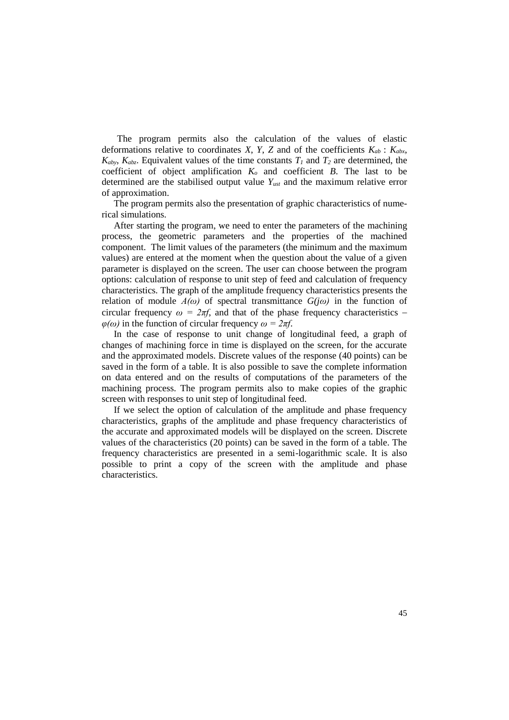The program permits also the calculation of the values of elastic deformations relative to coordinates *X*, *Y*, *Z* and of the coefficients  $K_{ab}$ :  $K_{abx}$ ,  $K_{aby}$ ,  $K_{abz}$ . Equivalent values of the time constants  $T_1$  and  $T_2$  are determined, the coefficient of object amplification  $K_o$  and coefficient  $B$ . The last to be determined are the stabilised output value *Yust* and the maximum relative error of approximation.

The program permits also the presentation of graphic characteristics of numerical simulations.

After starting the program, we need to enter the parameters of the machining process, the geometric parameters and the properties of the machined component. The limit values of the parameters (the minimum and the maximum values) are entered at the moment when the question about the value of a given parameter is displayed on the screen. The user can choose between the program options: calculation of response to unit step of feed and calculation of frequency characteristics. The graph of the amplitude frequency characteristics presents the relation of module  $A(\omega)$  of spectral transmittance  $G(j\omega)$  in the function of circular frequency  $\omega = 2\pi f$ , and that of the phase frequency characteristics – *φ(ω)* in the function of circular frequency *ω = 2πf*.

In the case of response to unit change of longitudinal feed, a graph of changes of machining force in time is displayed on the screen, for the accurate and the approximated models. Discrete values of the response (40 points) can be saved in the form of a table. It is also possible to save the complete information on data entered and on the results of computations of the parameters of the machining process. The program permits also to make copies of the graphic screen with responses to unit step of longitudinal feed.

If we select the option of calculation of the amplitude and phase frequency characteristics, graphs of the amplitude and phase frequency characteristics of the accurate and approximated models will be displayed on the screen. Discrete values of the characteristics (20 points) can be saved in the form of a table. The frequency characteristics are presented in a semi-logarithmic scale. It is also possible to print a copy of the screen with the amplitude and phase characteristics.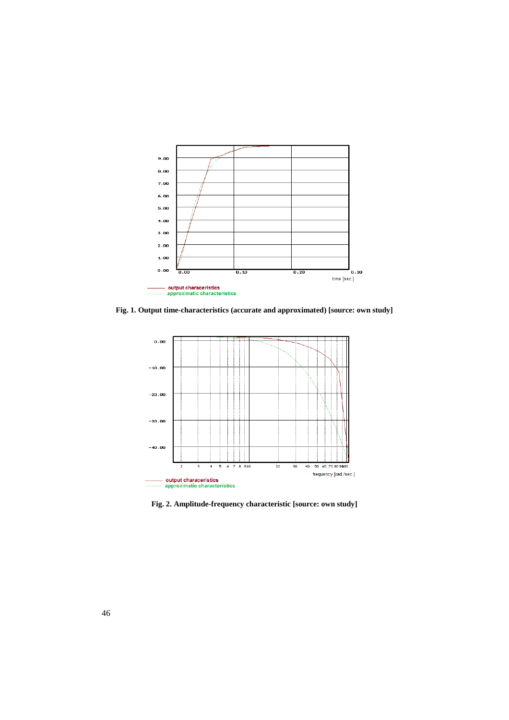

**Fig. 1. Output time-characteristics (accurate and approximated) [source: own study]**



**Fig. 2. Amplitude-frequency characteristic [source: own study]**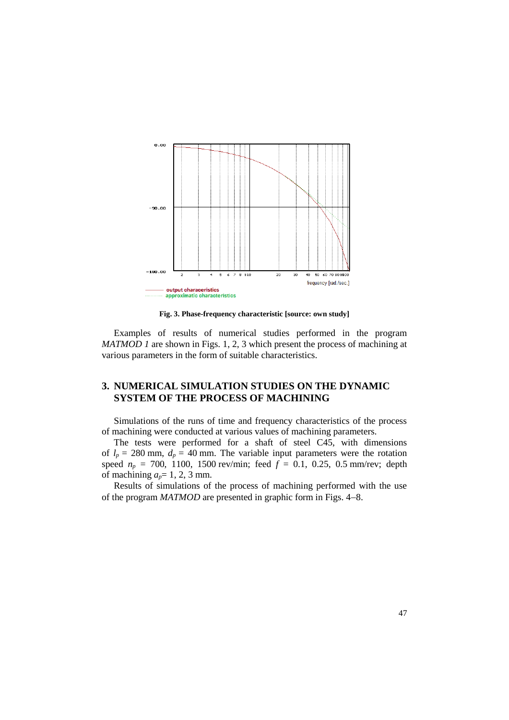

**Fig. 3. Phase-frequency characteristic [source: own study]**

Examples of results of numerical studies performed in the program *MATMOD 1* are shown in Figs. 1, 2, 3 which present the process of machining at various parameters in the form of suitable characteristics.

## **3. NUMERICAL SIMULATION STUDIES ON THE DYNAMIC SYSTEM OF THE PROCESS OF MACHINING**

Simulations of the runs of time and frequency characteristics of the process of machining were conducted at various values of machining parameters.

The tests were performed for a shaft of steel C45, with dimensions of  $l_p = 280$  mm,  $d_p = 40$  mm. The variable input parameters were the rotation speed  $n_p = 700$ , 1100, 1500 rev/min; feed  $f = 0.1$ , 0.25, 0.5 mm/rev; depth of machining  $a_p = 1, 2, 3$  mm.

Results of simulations of the process of machining performed with the use of the program *MATMOD* are presented in graphic form in Figs. 4–8.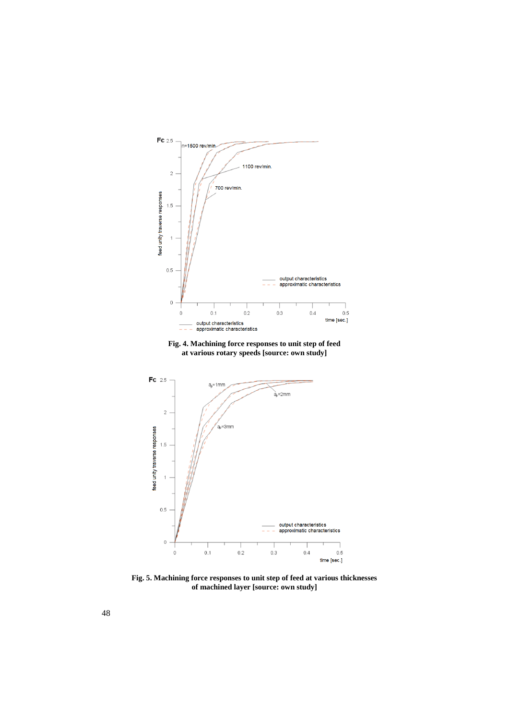

**Fig. 4. Machining force responses to unit step of feed at various rotary speeds [source: own study]**



**Fig. 5. Machining force responses to unit step of feed at various thicknesses of machined layer [source: own study]**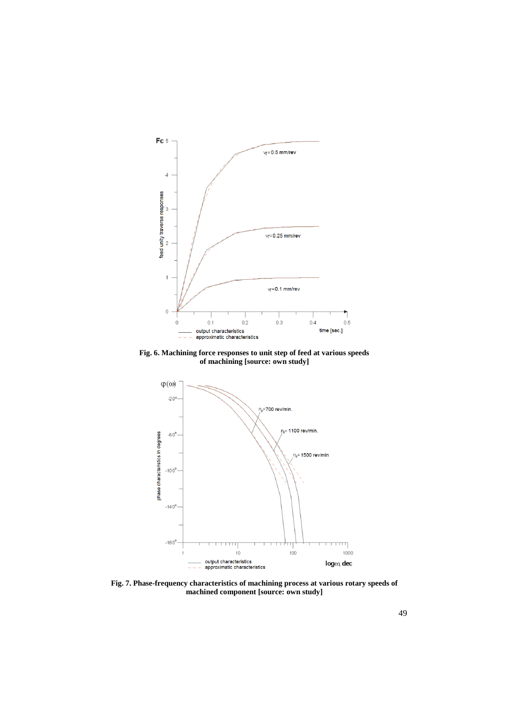

**Fig. 6. Machining force responses to unit step of feed at various speeds of machining [source: own study]**



**Fig. 7. Phase-frequency characteristics of machining process at various rotary speeds of machined component [source: own study]**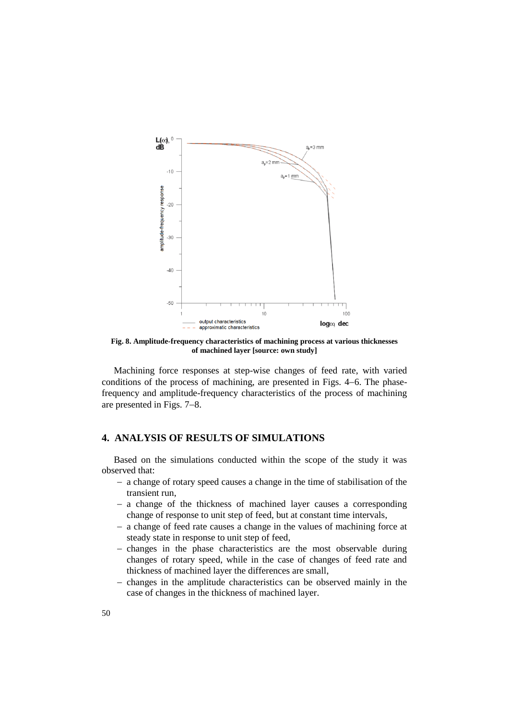

**Fig. 8. Amplitude-frequency characteristics of machining process at various thicknesses of machined layer [source: own study]**

Machining force responses at step-wise changes of feed rate, with varied conditions of the process of machining, are presented in Figs. 4–6. The phasefrequency and amplitude-frequency characteristics of the process of machining are presented in Figs.  $7-8$ .

# **4. ANALYSIS OF RESULTS OF SIMULATIONS**

Based on the simulations conducted within the scope of the study it was observed that:

- a change of rotary speed causes a change in the time of stabilisation of the transient run,
- a change of the thickness of machined layer causes a corresponding change of response to unit step of feed, but at constant time intervals,
- a change of feed rate causes a change in the values of machining force at steady state in response to unit step of feed,
- changes in the phase characteristics are the most observable during changes of rotary speed, while in the case of changes of feed rate and thickness of machined layer the differences are small,
- changes in the amplitude characteristics can be observed mainly in the case of changes in the thickness of machined layer.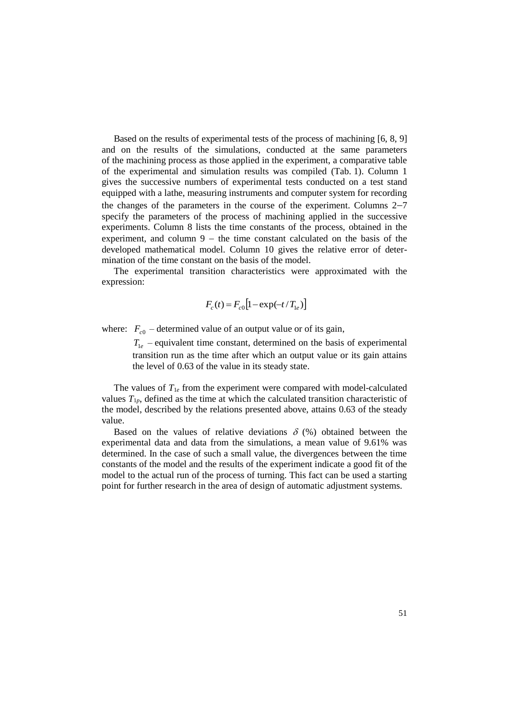Based on the results of experimental tests of the process of machining [6, 8, 9] and on the results of the simulations, conducted at the same parameters of the machining process as those applied in the experiment, a comparative table of the experimental and simulation results was compiled (Tab. 1). Column 1 gives the successive numbers of experimental tests conducted on a test stand equipped with a lathe, measuring instruments and computer system for recording the changes of the parameters in the course of the experiment. Columns  $2-7$ specify the parameters of the process of machining applied in the successive experiments. Column 8 lists the time constants of the process, obtained in the experiment, and column  $9 -$  the time constant calculated on the basis of the developed mathematical model. Column 10 gives the relative error of determination of the time constant on the basis of the model.

The experimental transition characteristics were approximated with the expression:

$$
F_c(t) = F_{c0} \left[ 1 - \exp(-t/T_{1e}) \right]
$$

where:  $F_{c0}$  – determined value of an output value or of its gain,

 $T_{1e}$  – equivalent time constant, determined on the basis of experimental transition run as the time after which an output value or its gain attains the level of 0.63 of the value in its steady state.

The values of  $T_{1e}$  from the experiment were compared with model-calculated values  $T_{1p}$ , defined as the time at which the calculated transition characteristic of the model, described by the relations presented above, attains 0.63 of the steady value.

Based on the values of relative deviations  $\delta$  (%) obtained between the experimental data and data from the simulations, a mean value of 9.61% was determined. In the case of such a small value, the divergences between the time constants of the model and the results of the experiment indicate a good fit of the model to the actual run of the process of turning. This fact can be used a starting point for further research in the area of design of automatic adjustment systems.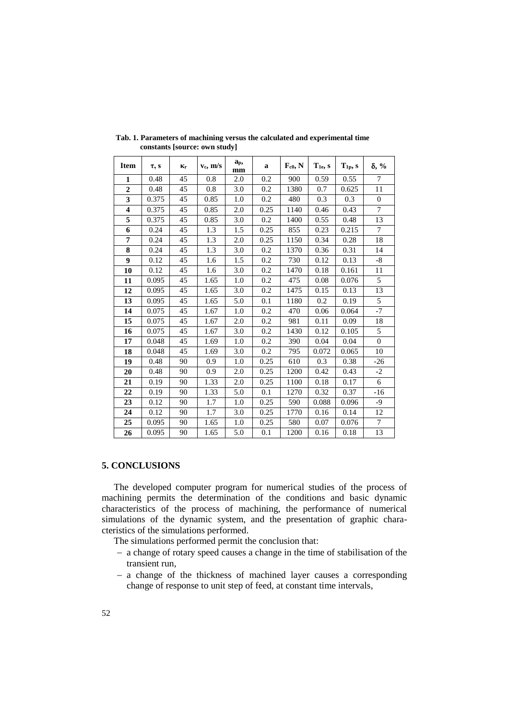| <b>Item</b>             | $\tau$ , s | Кr | $v_c$ , m/s | a <sub>p</sub><br>mm | a    | $F_{c0}$ , N | $T_{1e}$ , s | $T_{1p}$ , s | $\delta$ , %   |
|-------------------------|------------|----|-------------|----------------------|------|--------------|--------------|--------------|----------------|
| $\mathbf{1}$            | 0.48       | 45 | 0.8         | 2.0                  | 0.2  | 900          | 0.59         | 0.55         | $\overline{7}$ |
| $\overline{2}$          | 0.48       | 45 | 0.8         | 3.0                  | 0.2  | 1380         | 0.7          | 0.625        | 11             |
| 3                       | 0.375      | 45 | 0.85        | 1.0                  | 0.2  | 480          | 0.3          | 0.3          | $\theta$       |
| $\overline{\mathbf{4}}$ | 0.375      | 45 | 0.85        | 2.0                  | 0.25 | 1140         | 0.46         | 0.43         | $\tau$         |
| 5                       | 0.375      | 45 | 0.85        | 3.0                  | 0.2  | 1400         | 0.55         | 0.48         | 13             |
| 6                       | 0.24       | 45 | 1.3         | 1.5                  | 0.25 | 855          | 0.23         | 0.215        | 7              |
| 7                       | 0.24       | 45 | 1.3         | 2.0                  | 0.25 | 1150         | 0.34         | 0.28         | 18             |
| 8                       | 0.24       | 45 | 1.3         | 3.0                  | 0.2  | 1370         | 0.36         | 0.31         | 14             |
| $\boldsymbol{9}$        | 0.12       | 45 | 1.6         | 1.5                  | 0.2  | 730          | 0.12         | 0.13         | -8             |
| 10                      | 0.12       | 45 | 1.6         | 3.0                  | 0.2  | 1470         | 0.18         | 0.161        | 11             |
| 11                      | 0.095      | 45 | 1.65        | 1.0                  | 0.2  | 475          | 0.08         | 0.076        | 5              |
| 12                      | 0.095      | 45 | 1.65        | 3.0                  | 0.2  | 1475         | 0.15         | 0.13         | 13             |
| 13                      | 0.095      | 45 | 1.65        | 5.0                  | 0.1  | 1180         | 0.2          | 0.19         | 5              |
| 14                      | 0.075      | 45 | 1.67        | 1.0                  | 0.2  | 470          | 0.06         | 0.064        | $-7$           |
| 15                      | 0.075      | 45 | 1.67        | 2.0                  | 0.2  | 981          | 0.11         | 0.09         | 18             |
| 16                      | 0.075      | 45 | 1.67        | 3.0                  | 0.2  | 1430         | 0.12         | 0.105        | 5              |
| 17                      | 0.048      | 45 | 1.69        | 1.0                  | 0.2  | 390          | 0.04         | 0.04         | $\theta$       |
| 18                      | 0.048      | 45 | 1.69        | 3.0                  | 0.2  | 795          | 0.072        | 0.065        | 10             |
| 19                      | 0.48       | 90 | 0.9         | 1.0                  | 0.25 | 610          | 0.3          | 0.38         | $-26$          |
| 20                      | 0.48       | 90 | 0.9         | 2.0                  | 0.25 | 1200         | 0.42         | 0.43         | $-2$           |
| 21                      | 0.19       | 90 | 1.33        | 2.0                  | 0.25 | 1100         | 0.18         | 0.17         | 6              |
| 22                      | 0.19       | 90 | 1.33        | 5.0                  | 0.1  | 1270         | 0.32         | 0.37         | $-16$          |
| 23                      | 0.12       | 90 | 1.7         | 1.0                  | 0.25 | 590          | 0.088        | 0.096        | -9             |
| 24                      | 0.12       | 90 | 1.7         | 3.0                  | 0.25 | 1770         | 0.16         | 0.14         | 12             |
| 25                      | 0.095      | 90 | 1.65        | 1.0                  | 0.25 | 580          | 0.07         | 0.076        | $\tau$         |
| 26                      | 0.095      | 90 | 1.65        | 5.0                  | 0.1  | 1200         | 0.16         | 0.18         | 13             |

**Tab. 1. Parameters of machining versus the calculated and experimental time constants [source: own study]**

### **5. CONCLUSIONS**

The developed computer program for numerical studies of the process of machining permits the determination of the conditions and basic dynamic characteristics of the process of machining, the performance of numerical simulations of the dynamic system, and the presentation of graphic characteristics of the simulations performed.

The simulations performed permit the conclusion that:

- a change of rotary speed causes a change in the time of stabilisation of the transient run,
- a change of the thickness of machined layer causes a corresponding change of response to unit step of feed, at constant time intervals,